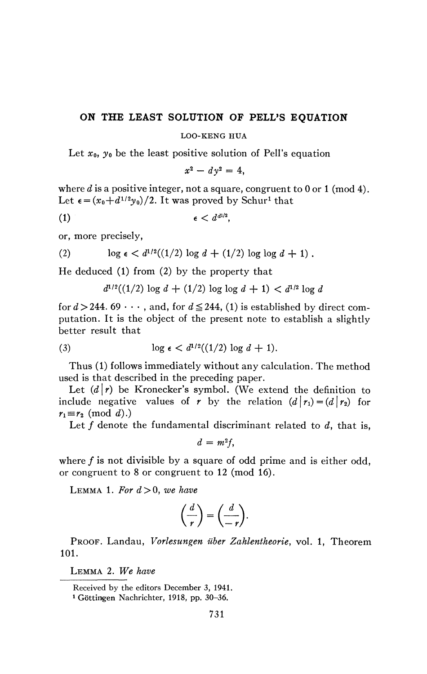## **ON THE LEAST SOLUTION OF PELL'S EQUATION**

## LOO-KENG HUA

Let  $x_0$ ,  $y_0$  be the least positive solution of Pell's equation

$$
x^2 - dy^2 = 4,
$$

where *d* is a positive integer, not a square, congruent to 0 or 1 (mod 4). Let  $\epsilon = (x_0 + d^{1/2}y_0)/2$ . It was proved by Schur<sup>1</sup> that

$$
(1) \qquad \qquad \epsilon < d^{d^{1/2}},
$$

or, more precisely,

(2) 
$$
\log \epsilon < d^{1/2}((1/2) \log d + (1/2) \log \log d + 1).
$$

He deduced (1) from (2) by the property that

$$
d^{1/2}((1/2)\log d + (1/2)\log \log d + 1) < d^{1/2}\log d
$$

for  $d > 244$ . 69  $\cdots$ , and, for  $d \le 244$ , (1) is established by direct computation. It is the object of the present note to establish a slightly better result that

(3) 
$$
\log \epsilon < d^{1/2}((1/2) \log d + 1).
$$

Thus (1) follows immediately without any calculation. The method used is that described in the preceding paper.

Let  $(d\mid r)$  be Kronecker's symbol. (We extend the definition to include negative values of *r* by the relation  $(d | r_1) = (d | r_2)$  for  $r_1 \equiv r_2 \pmod{d}$ .)

Let  $f$  denote the fundamental discriminant related to  $d$ , that is,

 $d = m^2 f$ ,

where  $f$  is not divisible by a square of odd prime and is either odd, or congruent to 8 or congruent to 12 (mod 16).

LEMMA 1. For  $d > 0$ , we have

$$
\left(\frac{d}{r}\right) = \left(\frac{d}{-r}\right).
$$

PROOF. Landau, *Vorlesungen über Zahlentheorie*, vol. 1, Theorem 101.

LEMMA 2. *We have* 

Received by the editors December 3, 1941.

<sup>1</sup> Göttingen Nachrichter, 1918, pp. 30-36.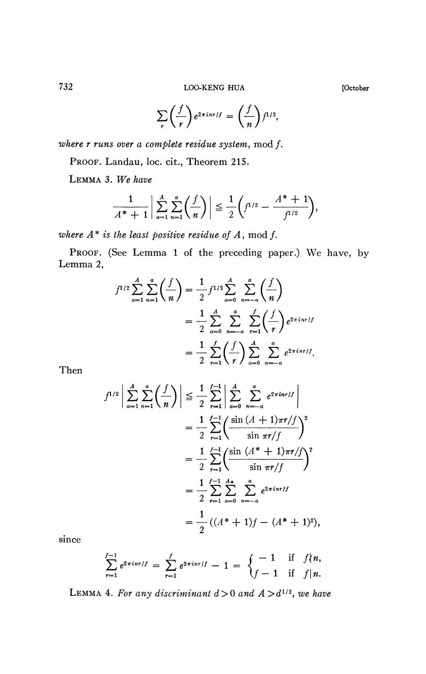732 LOO-KENG HUA **[October** 

$$
\sum_{r} \left( \frac{f}{r} \right) e^{2\pi i nr/f} = \left( \frac{f}{n} \right) f^{1/2},
$$

*where r runs over a complete residue system,* mod ƒ.

PROOF. Landau, loc. cit., Theorem 215.

LEMMA 3. *We have* 

$$
\frac{1}{A^*+1}\bigg|\sum_{a=1}^A\sum_{n=1}^a\bigg(\frac{f}{n}\bigg)\bigg|\leq \frac{1}{2}\bigg(f^{1/2}-\frac{A^*+1}{f^{1/2}}\bigg),
$$

*where A* \* *is the least positive residue of A*, mod ƒ.

PROOF. (See Lemma 1 of the preceding paper.) We have, by Lemma 2,

$$
f^{1/2} \sum_{a=1}^{A} \sum_{n=1}^{a} \left( \frac{f}{n} \right) = \frac{1}{2} f^{1/2} \sum_{a=0}^{A} \sum_{n=-a}^{a} \left( \frac{f}{n} \right)
$$
  
= 
$$
\frac{1}{2} \sum_{a=0}^{A} \sum_{n=-a}^{a} \sum_{r=1}^{f} \left( \frac{f}{r} \right) e^{2 \pi i n r / f}
$$
  
= 
$$
\frac{1}{2} \sum_{r=1}^{f} \left( \frac{f}{r} \right) \sum_{a=0}^{A} \sum_{n=-a}^{a} e^{2 \pi i n r / f}.
$$

Then

$$
f^{1/2} \left| \sum_{a=1}^{A} \sum_{n=1}^{a} \left( \frac{f}{n} \right) \right| \leq \frac{1}{2} \sum_{r=1}^{f-1} \left| \sum_{a=0}^{A} \sum_{n=-a}^{a} e^{2\pi i nr/f} \right|
$$
  
= 
$$
\frac{1}{2} \sum_{r=1}^{f-1} \left( \frac{\sin (A + 1)\pi r/f}{\sin \pi r/f} \right)^2
$$
  
= 
$$
\frac{1}{2} \sum_{r=1}^{f-1} \left( \frac{\sin (A^* + 1)\pi r/f}{\sin \pi r/f} \right)^2
$$
  
= 
$$
\frac{1}{2} \sum_{r=1}^{f-1} \sum_{a=0}^{A*} \sum_{n=-a}^{a} e^{2\pi i nr/f}
$$
  
= 
$$
\frac{1}{2} ((A^* + 1)f - (A^* + 1)^2),
$$

since

$$
\sum_{r=1}^{f-1} e^{2\pi i nr/f} = \sum_{r=1}^{f} e^{2\pi i nr/f} - 1 = \begin{cases} -1 & \text{if } f \nmid n, \\ f-1 & \text{if } f \mid n. \end{cases}
$$

LEMMA 4. For any discriminant  $d > 0$  and  $A > d^{1/2}$ , we have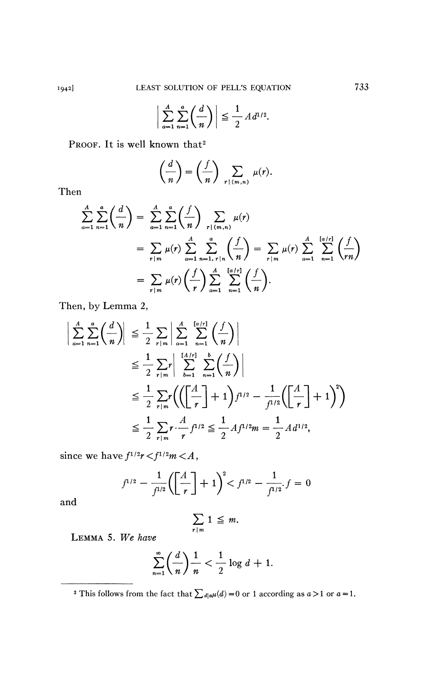$$
\left|\sum_{a=1}^A\sum_{n=1}^a\left(\frac{d}{n}\right)\right|\leq \frac{1}{2}A d^{1/2}.
$$

Proof. It is well known that<sup>2</sup>

$$
\left(\frac{d}{n}\right) = \left(\frac{f}{n}\right) \sum_{r \mid (m,n)} \mu(r).
$$

Then

$$
\sum_{a=1}^{A} \sum_{n=1}^{a} \left( \frac{d}{n} \right) = \sum_{a=1}^{A} \sum_{n=1}^{a} \left( \frac{f}{n} \right) \sum_{r \mid (m,n)} \mu(r)
$$
\n
$$
= \sum_{r \mid m} \mu(r) \sum_{a=1}^{A} \sum_{n=1, r \mid n}^{a} \left( \frac{f}{n} \right) = \sum_{r \mid m} \mu(r) \sum_{a=1}^{A} \sum_{n=1}^{\lfloor a/r \rfloor} \left( \frac{f}{rn} \right)
$$
\n
$$
= \sum_{r \mid m} \mu(r) \left( \frac{f}{r} \right) \sum_{a=1}^{A} \sum_{n=1}^{\lfloor a/r \rfloor} \left( \frac{f}{n} \right).
$$

Then, by Lemma 2,

$$
\left| \sum_{a=1}^{A} \sum_{n=1}^{a} \left( \frac{d}{n} \right) \right| \leq \frac{1}{2} \sum_{r|m} \left| \sum_{a=1}^{A} \sum_{n=1}^{[a/r]} \left( \frac{f}{n} \right) \right|
$$
  
\n
$$
\leq \frac{1}{2} \sum_{r|m} r \left| \sum_{b=1}^{[A/r]} \sum_{n=1}^{b} \left( \frac{f}{n} \right) \right|
$$
  
\n
$$
\leq \frac{1}{2} \sum_{r|m} r \left( \left( \left[ \frac{A}{r} \right] + 1 \right) f^{1/2} - \frac{1}{f^{1/2}} \left( \left[ \frac{A}{r} \right] + 1 \right)^{2} \right)
$$
  
\n
$$
\leq \frac{1}{2} \sum_{r|m} r \cdot \frac{A}{r} f^{1/2} \leq \frac{1}{2} Af^{1/2} m = \frac{1}{2} Ad^{1/2},
$$

since we have  $f^{1/2}r < f^{1/2}m < A$ ,

$$
f^{1/2} - \frac{1}{f^{1/2}} \left( \left[ \frac{A}{r} \right] + 1 \right)^2 < f^{1/2} - \frac{1}{f^{1/2}} f = 0
$$

and

$$
\sum_{r|m} 1 \leq m.
$$

LEMMA 5. We have

$$
\sum_{n=1}^{\infty} \left(\frac{d}{n}\right) \frac{1}{n} < \frac{1}{2} \log d + 1.
$$

<sup>2</sup> This follows from the fact that  $\sum_{d|a\mu}(d) = 0$  or 1 according as  $a > 1$  or  $a = 1$ .

733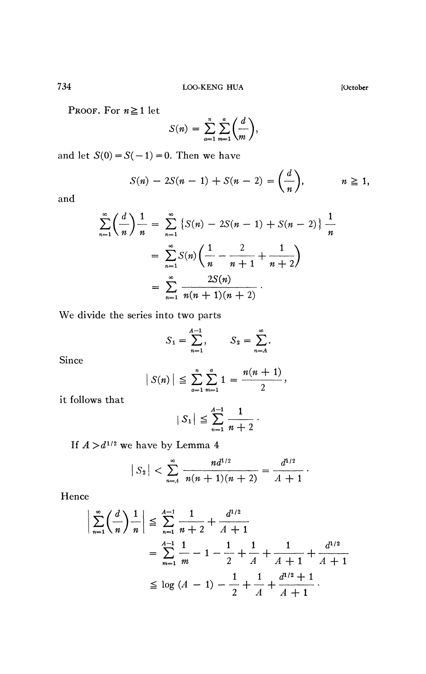PROOF. For  $n \ge 1$  let

$$
S(n) = \sum_{a=1}^n \sum_{m=1}^a \left(\frac{d}{m}\right),
$$

and let  $S(0) = S(-1) = 0$ . Then we have

$$
S(n) - 2S(n-1) + S(n-2) = \left(\frac{d}{n}\right), \qquad n \ge 1,
$$

and

$$
\sum_{n=1}^{\infty} \left( \frac{d}{n} \right) \frac{1}{n} = \sum_{n=1}^{\infty} \left\{ S(n) - 2S(n-1) + S(n-2) \right\} \frac{1}{n}
$$

$$
= \sum_{n=1}^{\infty} S(n) \left( \frac{1}{n} - \frac{2}{n+1} + \frac{1}{n+2} \right)
$$

$$
= \sum_{n=1}^{\infty} \frac{2S(n)}{n(n+1)(n+2)}.
$$

We divide the series into two parts

$$
S_1 = \sum_{n=1}^{A-1}, \qquad S_2 = \sum_{n=A}^{\infty}.
$$

Since

$$
|S(n)| \leq \sum_{\alpha=1}^n \sum_{m=1}^{\alpha} 1 = \frac{n(n+1)}{2},
$$

it follows that

$$
|S_1| \leqq \sum_{n=1}^{A-1} \frac{1}{n+2}.
$$

If  $A > d^{1/2}$  we have by Lemma 4

$$
|S_2|<\sum_{n=A}^{\infty}\frac{nd^{1/2}}{n(n+1)(n+2)}=\frac{d^{1/2}}{A+1}.
$$

Hence

$$
\left| \sum_{n=1}^{\infty} \left( \frac{d}{n} \right) \frac{1}{n} \right| \leq \sum_{n=1}^{A-1} \frac{1}{n+2} + \frac{d^{1/2}}{A+1}
$$
  
= 
$$
\sum_{m=1}^{A-1} \frac{1}{m} - 1 - \frac{1}{2} + \frac{1}{A} + \frac{1}{A+1} + \frac{d^{1/2}}{A+1}
$$
  

$$
\leq \log (A - 1) - \frac{1}{2} + \frac{1}{A} + \frac{d^{1/2} + 1}{A+1}.
$$